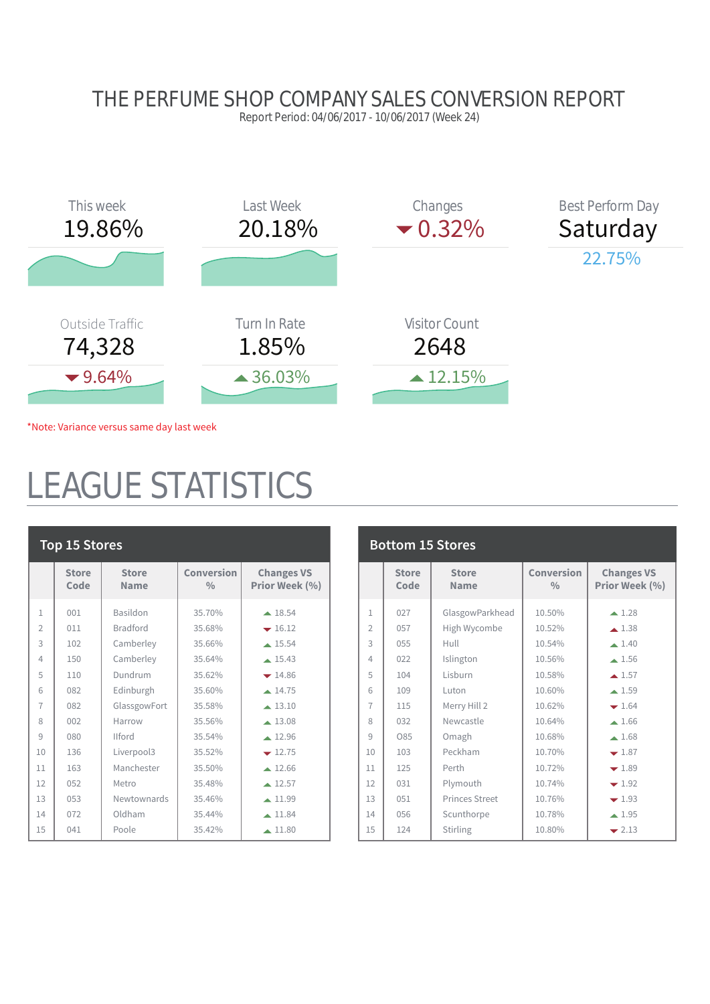### THE PERFUME SHOP COMPANY SALES CONVERSION REPORT

Report Period: 04/06/2017 - 10/06/2017 (Week 24)



\*Note: Variance versus same day last week

## EAGUE STATISTICS

| <b>Top 15 Stores</b> |                      |                             |                             |                                     |  |
|----------------------|----------------------|-----------------------------|-----------------------------|-------------------------------------|--|
|                      | <b>Store</b><br>Code | <b>Store</b><br><b>Name</b> | Conversion<br>$\frac{0}{0}$ | <b>Changes VS</b><br>Prior Week (%) |  |
| $\mathbf{1}$         | 001                  | Basildon                    | 35.70%                      | $\triangle$ 18.54                   |  |
| $\overline{2}$       | 011                  | <b>Bradford</b>             | 35.68%                      | $-16.12$                            |  |
| 3                    | 102                  | Camberley                   | 35.66%                      | $\triangle$ 15.54                   |  |
| 4                    | 150                  | Camberley                   | 35.64%                      | $\triangle$ 15.43                   |  |
| 5                    | 110                  | Dundrum                     | 35.62%                      | $-14.86$                            |  |
| 6                    | 082                  | Edinburgh                   | 35.60%                      | $\triangle$ 14.75                   |  |
| $\overline{7}$       | 082                  | GlassgowFort                | 35.58%                      | $\triangle$ 13.10                   |  |
| 8                    | 002                  | Harrow                      | 35.56%                      | $\triangle$ 13.08                   |  |
| 9                    | 080                  | <b>Ilford</b>               | 35.54%                      | $\triangle$ 12.96                   |  |
| 10                   | 136                  | Liverpool3                  | 35.52%                      | $-12.75$                            |  |
| 11                   | 163                  | Manchester                  | 35.50%                      | $\triangle$ 12.66                   |  |
| 12                   | 0.52                 | Metro                       | 35.48%                      | $\triangle$ 12.57                   |  |
| 13                   | 0.53                 | Newtownards                 | 35.46%                      | $\triangle$ 11.99                   |  |
| 14                   | 072                  | Oldham                      | 35.44%                      | $-11.84$                            |  |
| 15                   | 041                  | Poole                       | 35.42%                      | $\triangle$ 11.80                   |  |

| <b>Bottom 15 Stores</b> |                      |                             |                                    |                                     |  |  |
|-------------------------|----------------------|-----------------------------|------------------------------------|-------------------------------------|--|--|
|                         | <b>Store</b><br>Code | <b>Store</b><br><b>Name</b> | <b>Conversion</b><br>$\frac{0}{0}$ | <b>Changes VS</b><br>Prior Week (%) |  |  |
| $\mathbf{1}$            | 027                  | GlasgowParkhead             | 10.50%                             | $\blacktriangle$ 1.28               |  |  |
| $\overline{2}$          | 057                  | High Wycombe                | 10.52%                             | $\triangle$ 1.38                    |  |  |
| 3                       | 0.55                 | Hull                        | 10.54%                             | $\blacktriangle$ 1.40               |  |  |
| $\varDelta$             | 022                  | Islington                   | 10.56%                             | $\triangle$ 1.56                    |  |  |
| 5                       | 104                  | Lisburn                     | 10.58%                             | $\triangle$ 1.57                    |  |  |
| 6                       | 109                  | Luton                       | 10.60%                             | $\blacktriangle$ 1.59               |  |  |
| $\overline{7}$          | 115                  | Merry Hill 2                | 10.62%                             | $-1.64$                             |  |  |
| 8                       | 032                  | Newcastle                   | 10.64%                             | $-1.66$                             |  |  |
| 9                       | O85                  | Omagh                       | 10.68%                             | $\blacktriangle$ 1.68               |  |  |
| 10                      | 103                  | Peckham                     | 10.70%                             | $-1.87$                             |  |  |
| 11                      | 125                  | Perth                       | 10.72%                             | $-1.89$                             |  |  |
| 12                      | 031                  | Plymouth                    | 10.74%                             | $-1.92$                             |  |  |
| 13                      | 051                  | Princes Street              | 10.76%                             | $\div 1.93$                         |  |  |
| 14                      | 0.56                 | Scunthorpe                  | 10.78%                             | $\triangle$ 1.95                    |  |  |
| 15                      | 124                  | Stirling                    | 10.80%                             | $\blacktriangleright$ 2.13          |  |  |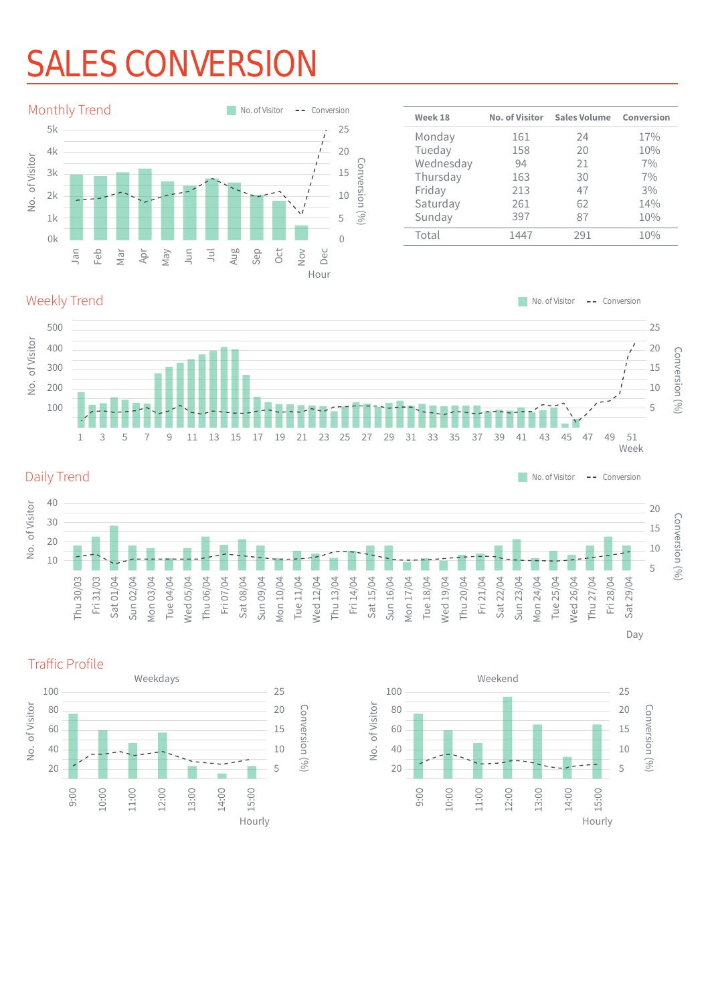# S CONVERSIO



| Week 18   | <b>No. of Visitor</b> | <b>Sales Volume</b> | Conversion |
|-----------|-----------------------|---------------------|------------|
| Monday    | 161                   | 24                  | 17%        |
| Tueday    | 158                   | 20                  | 10%        |
| Wednesday | 94                    | 21                  | 7%         |
| Thursday  | 163                   | 30                  | 7%         |
| Friday    | 213                   | 47                  | 3%         |
| Saturday  | 261                   | 62                  | 14%        |
| Sunday    | 397                   | 87                  | 10%        |
| Total     | 1447                  | 291                 | 10%        |

#### Weekly Trend



#### Daily Trend

 $\blacksquare$  No. of Visitor  $\blacksquare$  - Conversion 40 No. of Visitor No. of Visitor 20 30 15 20 10 10 5 Fri 14/04 Thu 30/03 Fri 31/03 Sat 01/04 Sun 02/04 Mon 03/04 Tue 04/04 Wed 05/04 Thu 06/04 Fri 07/04 Sat 08/04 Sun 09/04 Mon 10/04 Tue 11/04 Wed 12/04 Thu 13/04 Sat 15/04 Sun 16/04 Mon 17/04 Tue 18/04 Wed 19/04 Thu 20/04 Fri 21/04 Sat 22/04 Sun 23/04 Mon 24/04 Tue 25/04 Wed 26/04 Thu 27/04 Fri 28/04 Sat 29/04





### Conversion (%) Conversion (%)

Day